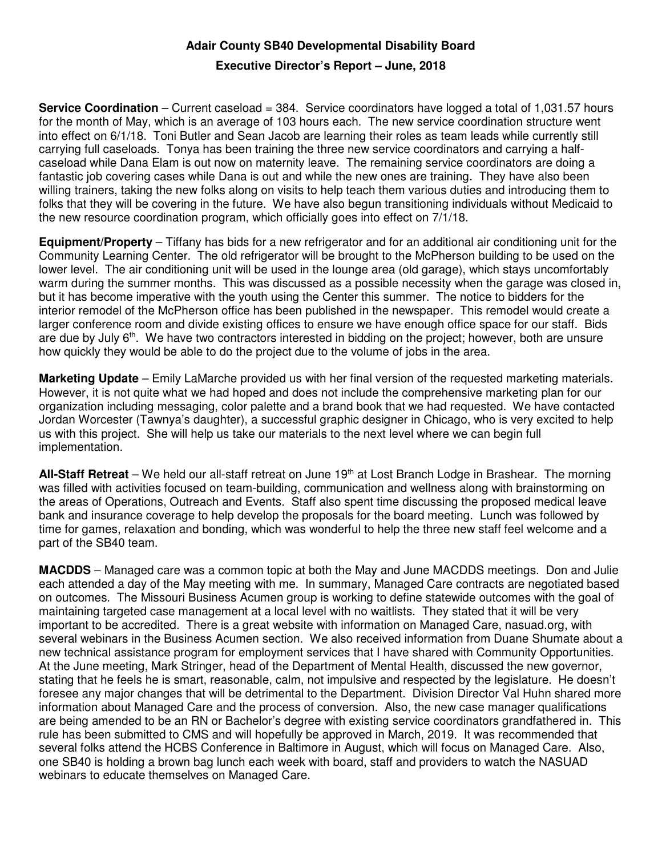## **Adair County SB40 Developmental Disability Board**

## **Executive Director's Report – June, 2018**

**Service Coordination** – Current caseload = 384. Service coordinators have logged a total of 1,031.57 hours for the month of May, which is an average of 103 hours each. The new service coordination structure went into effect on 6/1/18. Toni Butler and Sean Jacob are learning their roles as team leads while currently still carrying full caseloads. Tonya has been training the three new service coordinators and carrying a halfcaseload while Dana Elam is out now on maternity leave. The remaining service coordinators are doing a fantastic job covering cases while Dana is out and while the new ones are training. They have also been willing trainers, taking the new folks along on visits to help teach them various duties and introducing them to folks that they will be covering in the future. We have also begun transitioning individuals without Medicaid to the new resource coordination program, which officially goes into effect on 7/1/18.

**Equipment/Property** – Tiffany has bids for a new refrigerator and for an additional air conditioning unit for the Community Learning Center. The old refrigerator will be brought to the McPherson building to be used on the lower level. The air conditioning unit will be used in the lounge area (old garage), which stays uncomfortably warm during the summer months. This was discussed as a possible necessity when the garage was closed in, but it has become imperative with the youth using the Center this summer. The notice to bidders for the interior remodel of the McPherson office has been published in the newspaper. This remodel would create a larger conference room and divide existing offices to ensure we have enough office space for our staff. Bids are due by July 6<sup>th</sup>. We have two contractors interested in bidding on the project; however, both are unsure how quickly they would be able to do the project due to the volume of jobs in the area.

**Marketing Update** – Emily LaMarche provided us with her final version of the requested marketing materials. However, it is not quite what we had hoped and does not include the comprehensive marketing plan for our organization including messaging, color palette and a brand book that we had requested. We have contacted Jordan Worcester (Tawnya's daughter), a successful graphic designer in Chicago, who is very excited to help us with this project. She will help us take our materials to the next level where we can begin full implementation.

**All-Staff Retreat** – We held our all-staff retreat on June 19th at Lost Branch Lodge in Brashear. The morning was filled with activities focused on team-building, communication and wellness along with brainstorming on the areas of Operations, Outreach and Events. Staff also spent time discussing the proposed medical leave bank and insurance coverage to help develop the proposals for the board meeting. Lunch was followed by time for games, relaxation and bonding, which was wonderful to help the three new staff feel welcome and a part of the SB40 team.

**MACDDS** – Managed care was a common topic at both the May and June MACDDS meetings. Don and Julie each attended a day of the May meeting with me. In summary, Managed Care contracts are negotiated based on outcomes. The Missouri Business Acumen group is working to define statewide outcomes with the goal of maintaining targeted case management at a local level with no waitlists. They stated that it will be very important to be accredited. There is a great website with information on Managed Care, nasuad.org, with several webinars in the Business Acumen section. We also received information from Duane Shumate about a new technical assistance program for employment services that I have shared with Community Opportunities. At the June meeting, Mark Stringer, head of the Department of Mental Health, discussed the new governor, stating that he feels he is smart, reasonable, calm, not impulsive and respected by the legislature. He doesn't foresee any major changes that will be detrimental to the Department. Division Director Val Huhn shared more information about Managed Care and the process of conversion. Also, the new case manager qualifications are being amended to be an RN or Bachelor's degree with existing service coordinators grandfathered in. This rule has been submitted to CMS and will hopefully be approved in March, 2019. It was recommended that several folks attend the HCBS Conference in Baltimore in August, which will focus on Managed Care. Also, one SB40 is holding a brown bag lunch each week with board, staff and providers to watch the NASUAD webinars to educate themselves on Managed Care.